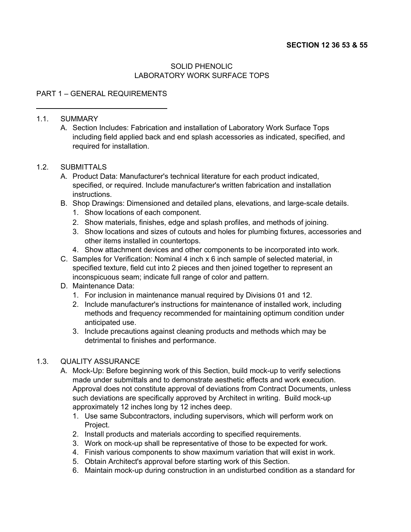### SOLID PHENOLIC LABORATORY WORK SURFACE TOPS

## PART 1 – GENERAL REQUIREMENTS

#### 1.1. SUMMARY

A. Section Includes: Fabrication and installation of Laboratory Work Surface Tops including field applied back and end splash accessories as indicated, specified, and required for installation.

#### 1.2. SUBMITTALS

- A. Product Data: Manufacturer's technical literature for each product indicated, specified, or required. Include manufacturer's written fabrication and installation instructions.
- B. Shop Drawings: Dimensioned and detailed plans, elevations, and large-scale details.
	- 1. Show locations of each component.
	- 2. Show materials, finishes, edge and splash profiles, and methods of joining.
	- 3. Show locations and sizes of cutouts and holes for plumbing fixtures, accessories and other items installed in countertops.
	- 4. Show attachment devices and other components to be incorporated into work.
- C. Samples for Verification: Nominal 4 inch x 6 inch sample of selected material, in specified texture, field cut into 2 pieces and then joined together to represent an inconspicuous seam; indicate full range of color and pattern.
- D. Maintenance Data:
	- 1. For inclusion in maintenance manual required by Divisions 01 and 12.
	- 2. Include manufacturer's instructions for maintenance of installed work, including methods and frequency recommended for maintaining optimum condition under anticipated use.
	- 3. Include precautions against cleaning products and methods which may be detrimental to finishes and performance.

### 1.3. QUALITY ASSURANCE

- A. Mock-Up: Before beginning work of this Section, build mock-up to verify selections made under submittals and to demonstrate aesthetic effects and work execution. Approval does not constitute approval of deviations from Contract Documents, unless such deviations are specifically approved by Architect in writing. Build mock-up approximately 12 inches long by 12 inches deep.
	- 1. Use same Subcontractors, including supervisors, which will perform work on Project.
	- 2. Install products and materials according to specified requirements.
	- 3. Work on mock-up shall be representative of those to be expected for work.
	- 4. Finish various components to show maximum variation that will exist in work.
	- 5. Obtain Architect's approval before starting work of this Section.
	- 6. Maintain mock-up during construction in an undisturbed condition as a standard for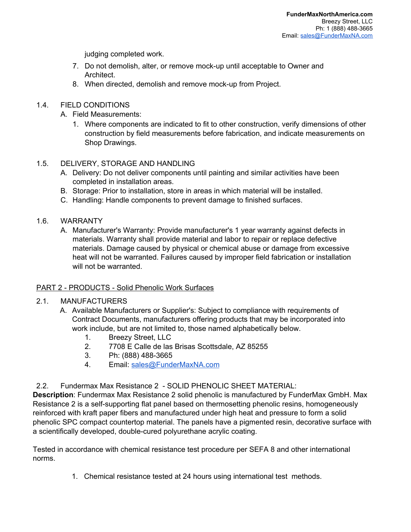judging completed work.

- 7. Do not demolish, alter, or remove mock-up until acceptable to Owner and Architect.
- 8. When directed, demolish and remove mock-up from Project.

# 1.4. FIELD CONDITIONS

- A. Field Measurements:
	- 1. Where components are indicated to fit to other construction, verify dimensions of other construction by field measurements before fabrication, and indicate measurements on Shop Drawings.

### 1.5. DELIVERY, STORAGE AND HANDLING

- A. Delivery: Do not deliver components until painting and similar activities have been completed in installation areas.
- B. Storage: Prior to installation, store in areas in which material will be installed.
- C. Handling: Handle components to prevent damage to finished surfaces.
- 1.6. WARRANTY
	- A. Manufacturer's Warranty: Provide manufacturer's 1 year warranty against defects in materials. Warranty shall provide material and labor to repair or replace defective materials. Damage caused by physical or chemical abuse or damage from excessive heat will not be warranted. Failures caused by improper field fabrication or installation will not be warranted.

### PART 2 - PRODUCTS - Solid Phenolic Work Surfaces

### 2.1. MANUFACTURERS

- A. Available Manufacturers or Supplier's: Subject to compliance with requirements of Contract Documents, manufacturers offering products that may be incorporated into work include, but are not limited to, those named alphabetically below.
	- 1. Breezy Street, LLC
	- 2. 7708 E Calle de las Brisas Scottsdale, AZ 85255
	- 3. Ph: (888) 488-3665
	- 4. Email: [sales@FunderMaxNA.com](mailto:sales@FunderMaxNA.com)
- 2.2. Fundermax Max Resistance 2 SOLID PHENOLIC SHEET MATERIAL:

**Description**: Fundermax Max Resistance 2 solid phenolic is manufactured by FunderMax GmbH. Max Resistance 2 is a self-supporting flat panel based on thermosetting phenolic resins, homogeneously reinforced with kraft paper fibers and manufactured under high heat and pressure to form a solid phenolic SPC compact countertop material. The panels have a pigmented resin, decorative surface with a scientifically developed, double-cured polyurethane acrylic coating.

Tested in accordance with chemical resistance test procedure per SEFA 8 and other international norms.

1. Chemical resistance tested at 24 hours using international test methods.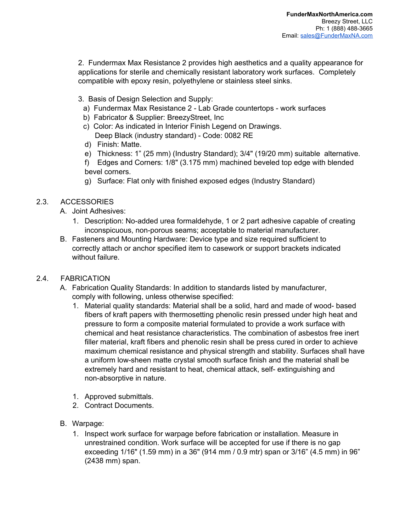2. Fundermax Max Resistance 2 provides high aesthetics and a quality appearance for applications for sterile and chemically resistant laboratory work surfaces. Completely compatible with epoxy resin, polyethylene or stainless steel sinks.

- 3. Basis of Design Selection and Supply:
	- a) Fundermax Max Resistance 2 Lab Grade countertops work surfaces
	- b) Fabricator & Supplier: BreezyStreet, Inc
	- c) Color: As indicated in Interior Finish Legend on Drawings. Deep Black (industry standard) - Code: 0082 RE
	- d) Finish: Matte.
	- e) Thickness: 1" (25 mm) (Industry Standard); 3/4" (19/20 mm) suitable alternative.
	- f) Edges and Corners: 1/8" (3.175 mm) machined beveled top edge with blended bevel corners.
	- g) Surface: Flat only with finished exposed edges (Industry Standard)

## 2.3. ACCESSORIES

- A. Joint Adhesives:
	- 1. Description: No-added urea formaldehyde, 1 or 2 part adhesive capable of creating inconspicuous, non-porous seams; acceptable to material manufacturer.
- B. Fasteners and Mounting Hardware: Device type and size required sufficient to correctly attach or anchor specified item to casework or support brackets indicated without failure.

### 2.4. FABRICATION

- A. Fabrication Quality Standards: In addition to standards listed by manufacturer, comply with following, unless otherwise specified:
	- 1. Material quality standards: Material shall be a solid, hard and made of wood- based fibers of kraft papers with thermosetting phenolic resin pressed under high heat and pressure to form a composite material formulated to provide a work surface with chemical and heat resistance characteristics. The combination of asbestos free inert filler material, kraft fibers and phenolic resin shall be press cured in order to achieve maximum chemical resistance and physical strength and stability. Surfaces shall have a uniform low-sheen matte crystal smooth surface finish and the material shall be extremely hard and resistant to heat, chemical attack, self- extinguishing and non-absorptive in nature.
	- 1. Approved submittals.
	- 2. Contract Documents.
- B. Warpage:
	- 1. Inspect work surface for warpage before fabrication or installation. Measure in unrestrained condition. Work surface will be accepted for use if there is no gap exceeding 1/16" (1.59 mm) in a 36" (914 mm / 0.9 mtr) span or 3/16" (4.5 mm) in 96" (2438 mm) span.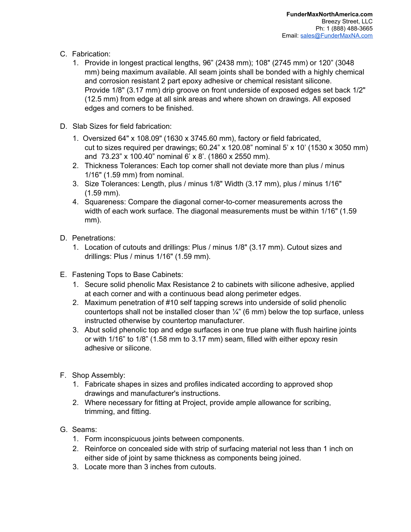- C. Fabrication:
	- 1. Provide in longest practical lengths, 96" (2438 mm); 108" (2745 mm) or 120" (3048 mm) being maximum available. All seam joints shall be bonded with a highly chemical and corrosion resistant 2 part epoxy adhesive or chemical resistant silicone. Provide 1/8" (3.17 mm) drip groove on front underside of exposed edges set back 1/2" (12.5 mm) from edge at all sink areas and where shown on drawings. All exposed edges and corners to be finished.
- D. Slab Sizes for field fabrication:
	- 1. Oversized 64" x 108.09" (1630 x 3745.60 mm), factory or field fabricated, cut to sizes required per drawings;  $60.24$ " x 120.08" nominal 5' x 10' (1530 x 3050 mm) and 73.23" x 100.40" nominal 6' x 8'. (1860 x 2550 mm).
	- 2. Thickness Tolerances: Each top corner shall not deviate more than plus / minus 1/16" (1.59 mm) from nominal.
	- 3. Size Tolerances: Length, plus / minus 1/8" Width (3.17 mm), plus / minus 1/16" (1.59 mm).
	- 4. Squareness: Compare the diagonal corner-to-corner measurements across the width of each work surface. The diagonal measurements must be within 1/16" (1.59 mm).
- D. Penetrations:
	- 1. Location of cutouts and drillings: Plus / minus 1/8" (3.17 mm). Cutout sizes and drillings: Plus / minus 1/16" (1.59 mm).
- E. Fastening Tops to Base Cabinets:
	- 1. Secure solid phenolic Max Resistance 2 to cabinets with silicone adhesive, applied at each corner and with a continuous bead along perimeter edges.
	- 2. Maximum penetration of #10 self tapping screws into underside of solid phenolic countertops shall not be installed closer than  $\frac{1}{4}$ " (6 mm) below the top surface, unless instructed otherwise by countertop manufacturer.
	- 3. Abut solid phenolic top and edge surfaces in one true plane with flush hairline joints or with 1/16" to 1/8" (1.58 mm to 3.17 mm) seam, filled with either epoxy resin adhesive or silicone.
- F. Shop Assembly:
	- 1. Fabricate shapes in sizes and profiles indicated according to approved shop drawings and manufacturer's instructions.
	- 2. Where necessary for fitting at Project, provide ample allowance for scribing, trimming, and fitting.
- G. Seams:
	- 1. Form inconspicuous joints between components.
	- 2. Reinforce on concealed side with strip of surfacing material not less than 1 inch on either side of joint by same thickness as components being joined.
	- 3. Locate more than 3 inches from cutouts.